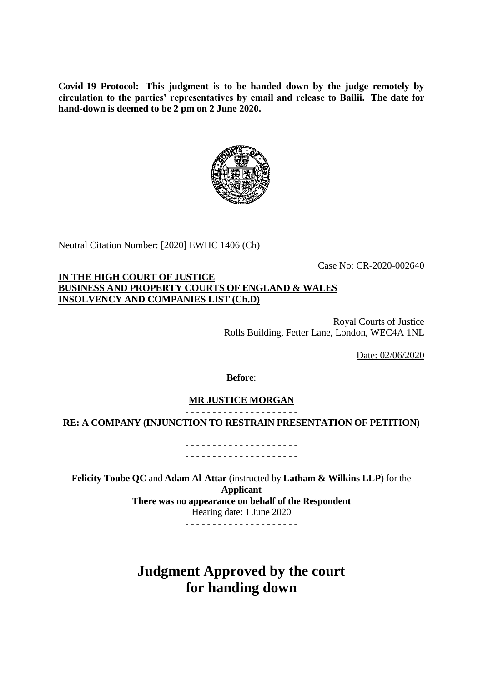**Covid-19 Protocol: This judgment is to be handed down by the judge remotely by circulation to the parties' representatives by email and release to Bailii. The date for hand-down is deemed to be 2 pm on 2 June 2020.**



Neutral Citation Number: [2020] EWHC 1406 (Ch)

Case No: CR-2020-002640

## **IN THE HIGH COURT OF JUSTICE BUSINESS AND PROPERTY COURTS OF ENGLAND & WALES INSOLVENCY AND COMPANIES LIST (Ch.D)**

Royal Courts of Justice Rolls Building, Fetter Lane, London, WEC4A 1NL

Date: 02/06/2020

#### **Before**:

#### **MR JUSTICE MORGAN** - - - - - - - - - - - - - - - - - - - - -

### **RE: A COMPANY (INJUNCTION TO RESTRAIN PRESENTATION OF PETITION)**

- - - - - - - - - - - - - - - - - - - - - - - - - - - - - - - - - - - - - - - - - -

**Felicity Toube QC** and **Adam Al-Attar** (instructed by **Latham & Wilkins LLP**) for the **Applicant There was no appearance on behalf of the Respondent** Hearing date: 1 June 2020

- - - - - - - - - - - - - - - - - - - - -

**Judgment Approved by the court for handing down**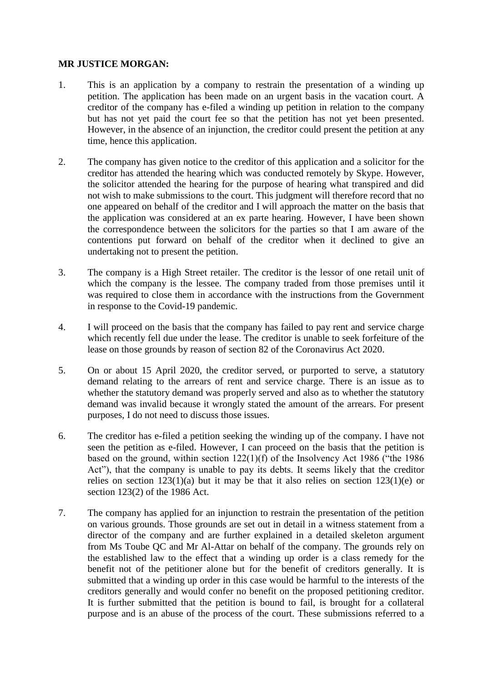# **MR JUSTICE MORGAN:**

- 1. This is an application by a company to restrain the presentation of a winding up petition. The application has been made on an urgent basis in the vacation court. A creditor of the company has e-filed a winding up petition in relation to the company but has not yet paid the court fee so that the petition has not yet been presented. However, in the absence of an injunction, the creditor could present the petition at any time, hence this application.
- 2. The company has given notice to the creditor of this application and a solicitor for the creditor has attended the hearing which was conducted remotely by Skype. However, the solicitor attended the hearing for the purpose of hearing what transpired and did not wish to make submissions to the court. This judgment will therefore record that no one appeared on behalf of the creditor and I will approach the matter on the basis that the application was considered at an ex parte hearing. However, I have been shown the correspondence between the solicitors for the parties so that I am aware of the contentions put forward on behalf of the creditor when it declined to give an undertaking not to present the petition.
- 3. The company is a High Street retailer. The creditor is the lessor of one retail unit of which the company is the lessee. The company traded from those premises until it was required to close them in accordance with the instructions from the Government in response to the Covid-19 pandemic.
- 4. I will proceed on the basis that the company has failed to pay rent and service charge which recently fell due under the lease. The creditor is unable to seek forfeiture of the lease on those grounds by reason of section 82 of the Coronavirus Act 2020.
- 5. On or about 15 April 2020, the creditor served, or purported to serve, a statutory demand relating to the arrears of rent and service charge. There is an issue as to whether the statutory demand was properly served and also as to whether the statutory demand was invalid because it wrongly stated the amount of the arrears. For present purposes, I do not need to discuss those issues.
- 6. The creditor has e-filed a petition seeking the winding up of the company. I have not seen the petition as e-filed. However, I can proceed on the basis that the petition is based on the ground, within section 122(1)(f) of the Insolvency Act 1986 ("the 1986 Act"), that the company is unable to pay its debts. It seems likely that the creditor relies on section  $123(1)(a)$  but it may be that it also relies on section  $123(1)(e)$  or section 123(2) of the 1986 Act.
- 7. The company has applied for an injunction to restrain the presentation of the petition on various grounds. Those grounds are set out in detail in a witness statement from a director of the company and are further explained in a detailed skeleton argument from Ms Toube QC and Mr Al-Attar on behalf of the company. The grounds rely on the established law to the effect that a winding up order is a class remedy for the benefit not of the petitioner alone but for the benefit of creditors generally. It is submitted that a winding up order in this case would be harmful to the interests of the creditors generally and would confer no benefit on the proposed petitioning creditor. It is further submitted that the petition is bound to fail, is brought for a collateral purpose and is an abuse of the process of the court. These submissions referred to a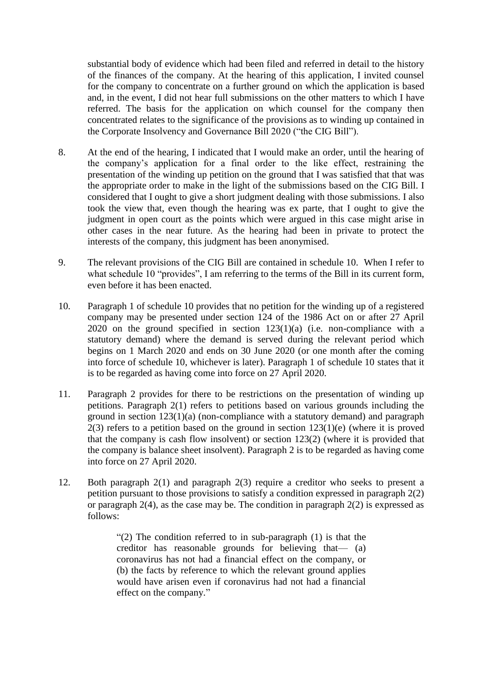substantial body of evidence which had been filed and referred in detail to the history of the finances of the company. At the hearing of this application, I invited counsel for the company to concentrate on a further ground on which the application is based and, in the event, I did not hear full submissions on the other matters to which I have referred. The basis for the application on which counsel for the company then concentrated relates to the significance of the provisions as to winding up contained in the Corporate Insolvency and Governance Bill 2020 ("the CIG Bill").

- 8. At the end of the hearing, I indicated that I would make an order, until the hearing of the company's application for a final order to the like effect, restraining the presentation of the winding up petition on the ground that I was satisfied that that was the appropriate order to make in the light of the submissions based on the CIG Bill. I considered that I ought to give a short judgment dealing with those submissions. I also took the view that, even though the hearing was ex parte, that I ought to give the judgment in open court as the points which were argued in this case might arise in other cases in the near future. As the hearing had been in private to protect the interests of the company, this judgment has been anonymised.
- 9. The relevant provisions of the CIG Bill are contained in schedule 10. When I refer to what schedule 10 "provides", I am referring to the terms of the Bill in its current form, even before it has been enacted.
- 10. Paragraph 1 of schedule 10 provides that no petition for the winding up of a registered company may be presented under section 124 of the 1986 Act on or after 27 April 2020 on the ground specified in section  $123(1)(a)$  (i.e. non-compliance with a statutory demand) where the demand is served during the relevant period which begins on 1 March 2020 and ends on 30 June 2020 (or one month after the coming into force of schedule 10, whichever is later). Paragraph 1 of schedule 10 states that it is to be regarded as having come into force on 27 April 2020.
- 11. Paragraph 2 provides for there to be restrictions on the presentation of winding up petitions. Paragraph 2(1) refers to petitions based on various grounds including the ground in section 123(1)(a) (non-compliance with a statutory demand) and paragraph  $2(3)$  refers to a petition based on the ground in section  $123(1)(e)$  (where it is proved that the company is cash flow insolvent) or section 123(2) (where it is provided that the company is balance sheet insolvent). Paragraph 2 is to be regarded as having come into force on 27 April 2020.
- 12. Both paragraph 2(1) and paragraph 2(3) require a creditor who seeks to present a petition pursuant to those provisions to satisfy a condition expressed in paragraph 2(2) or paragraph 2(4), as the case may be. The condition in paragraph 2(2) is expressed as follows:

"(2) The condition referred to in sub-paragraph (1) is that the creditor has reasonable grounds for believing that— (a) coronavirus has not had a financial effect on the company, or (b) the facts by reference to which the relevant ground applies would have arisen even if coronavirus had not had a financial effect on the company."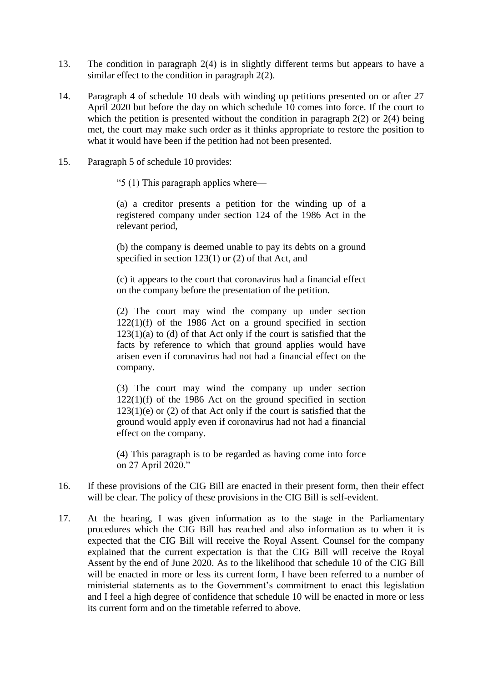- 13. The condition in paragraph 2(4) is in slightly different terms but appears to have a similar effect to the condition in paragraph 2(2).
- 14. Paragraph 4 of schedule 10 deals with winding up petitions presented on or after 27 April 2020 but before the day on which schedule 10 comes into force. If the court to which the petition is presented without the condition in paragraph  $2(2)$  or  $2(4)$  being met, the court may make such order as it thinks appropriate to restore the position to what it would have been if the petition had not been presented.
- 15. Paragraph 5 of schedule 10 provides:
	- "5 (1) This paragraph applies where—

(a) a creditor presents a petition for the winding up of a registered company under section 124 of the 1986 Act in the relevant period,

(b) the company is deemed unable to pay its debts on a ground specified in section 123(1) or (2) of that Act, and

(c) it appears to the court that coronavirus had a financial effect on the company before the presentation of the petition.

(2) The court may wind the company up under section  $122(1)(f)$  of the 1986 Act on a ground specified in section  $123(1)(a)$  to (d) of that Act only if the court is satisfied that the facts by reference to which that ground applies would have arisen even if coronavirus had not had a financial effect on the company.

(3) The court may wind the company up under section  $122(1)(f)$  of the 1986 Act on the ground specified in section  $123(1)(e)$  or  $(2)$  of that Act only if the court is satisfied that the ground would apply even if coronavirus had not had a financial effect on the company.

(4) This paragraph is to be regarded as having come into force on 27 April 2020."

- 16. If these provisions of the CIG Bill are enacted in their present form, then their effect will be clear. The policy of these provisions in the CIG Bill is self-evident.
- 17. At the hearing, I was given information as to the stage in the Parliamentary procedures which the CIG Bill has reached and also information as to when it is expected that the CIG Bill will receive the Royal Assent. Counsel for the company explained that the current expectation is that the CIG Bill will receive the Royal Assent by the end of June 2020. As to the likelihood that schedule 10 of the CIG Bill will be enacted in more or less its current form, I have been referred to a number of ministerial statements as to the Government's commitment to enact this legislation and I feel a high degree of confidence that schedule 10 will be enacted in more or less its current form and on the timetable referred to above.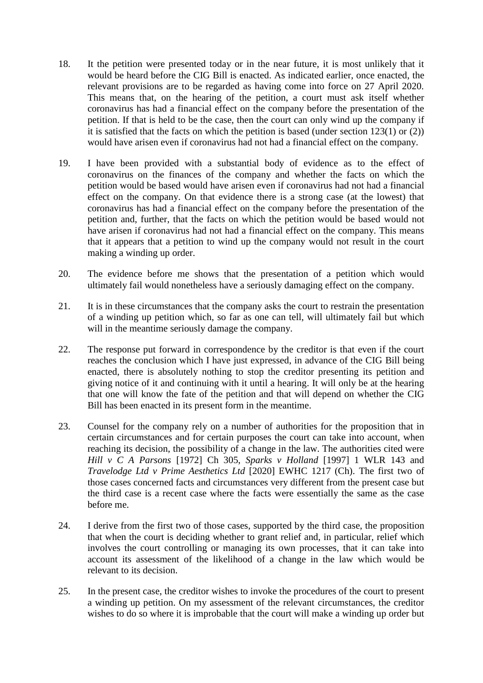- 18. It the petition were presented today or in the near future, it is most unlikely that it would be heard before the CIG Bill is enacted. As indicated earlier, once enacted, the relevant provisions are to be regarded as having come into force on 27 April 2020. This means that, on the hearing of the petition, a court must ask itself whether coronavirus has had a financial effect on the company before the presentation of the petition. If that is held to be the case, then the court can only wind up the company if it is satisfied that the facts on which the petition is based (under section 123(1) or (2)) would have arisen even if coronavirus had not had a financial effect on the company.
- 19. I have been provided with a substantial body of evidence as to the effect of coronavirus on the finances of the company and whether the facts on which the petition would be based would have arisen even if coronavirus had not had a financial effect on the company. On that evidence there is a strong case (at the lowest) that coronavirus has had a financial effect on the company before the presentation of the petition and, further, that the facts on which the petition would be based would not have arisen if coronavirus had not had a financial effect on the company. This means that it appears that a petition to wind up the company would not result in the court making a winding up order.
- 20. The evidence before me shows that the presentation of a petition which would ultimately fail would nonetheless have a seriously damaging effect on the company.
- 21. It is in these circumstances that the company asks the court to restrain the presentation of a winding up petition which, so far as one can tell, will ultimately fail but which will in the meantime seriously damage the company.
- 22. The response put forward in correspondence by the creditor is that even if the court reaches the conclusion which I have just expressed, in advance of the CIG Bill being enacted, there is absolutely nothing to stop the creditor presenting its petition and giving notice of it and continuing with it until a hearing. It will only be at the hearing that one will know the fate of the petition and that will depend on whether the CIG Bill has been enacted in its present form in the meantime.
- 23. Counsel for the company rely on a number of authorities for the proposition that in certain circumstances and for certain purposes the court can take into account, when reaching its decision, the possibility of a change in the law. The authorities cited were *Hill v C A Parsons* [1972] Ch 305, *Sparks v Holland* [1997] 1 WLR 143 and *Travelodge Ltd v Prime Aesthetics Ltd* [2020] EWHC 1217 (Ch). The first two of those cases concerned facts and circumstances very different from the present case but the third case is a recent case where the facts were essentially the same as the case before me.
- 24. I derive from the first two of those cases, supported by the third case, the proposition that when the court is deciding whether to grant relief and, in particular, relief which involves the court controlling or managing its own processes, that it can take into account its assessment of the likelihood of a change in the law which would be relevant to its decision.
- 25. In the present case, the creditor wishes to invoke the procedures of the court to present a winding up petition. On my assessment of the relevant circumstances, the creditor wishes to do so where it is improbable that the court will make a winding up order but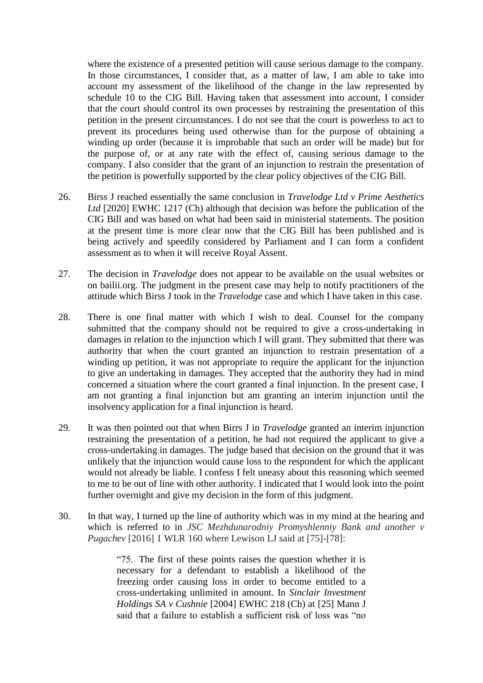where the existence of a presented petition will cause serious damage to the company. In those circumstances, I consider that, as a matter of law, I am able to take into account my assessment of the likelihood of the change in the law represented by schedule 10 to the CIG Bill. Having taken that assessment into account, I consider that the court should control its own processes by restraining the presentation of this petition in the present circumstances. I do not see that the court is powerless to act to prevent its procedures being used otherwise than for the purpose of obtaining a winding up order (because it is improbable that such an order will be made) but for the purpose of, or at any rate with the effect of, causing serious damage to the company. I also consider that the grant of an injunction to restrain the presentation of the petition is powerfully supported by the clear policy objectives of the CIG Bill.

- 26. Birss J reached essentially the same conclusion in *Travelodge Ltd v Prime Aesthetics Ltd* [2020] EWHC 1217 (Ch) although that decision was before the publication of the CIG Bill and was based on what had been said in ministerial statements. The position at the present time is more clear now that the CIG Bill has been published and is being actively and speedily considered by Parliament and I can form a confident assessment as to when it will receive Royal Assent.
- 27. The decision in *Travelodge* does not appear to be available on the usual websites or on bailii.org. The judgment in the present case may help to notify practitioners of the attitude which Birss J took in the *Travelodge* case and which I have taken in this case.
- 28. There is one final matter with which I wish to deal. Counsel for the company submitted that the company should not be required to give a cross-undertaking in damages in relation to the injunction which I will grant. They submitted that there was authority that when the court granted an injunction to restrain presentation of a winding up petition, it was not appropriate to require the applicant for the injunction to give an undertaking in damages. They accepted that the authority they had in mind concerned a situation where the court granted a final injunction. In the present case, I am not granting a final injunction but am granting an interim injunction until the insolvency application for a final injunction is heard.
- 29. It was then pointed out that when Birrs J in *Travelodge* granted an interim injunction restraining the presentation of a petition, he had not required the applicant to give a cross-undertaking in damages. The judge based that decision on the ground that it was unlikely that the injunction would cause loss to the respondent for which the applicant would not already be liable. I confess I felt uneasy about this reasoning which seemed to me to be out of line with other authority. I indicated that I would look into the point further overnight and give my decision in the form of this judgment.
- 30. In that way, I turned up the line of authority which was in my mind at the hearing and which is referred to in *JSC Mezhdunarodniy Promyshlenniy Bank and another v Pugachev* [2016] 1 WLR 160 where Lewison LJ said at [75]-[78]:

"75. The first of these points raises the question whether it is necessary for a defendant to establish a likelihood of the freezing order causing loss in order to become entitled to a cross-undertaking unlimited in amount. In *Sinclair Investment Holdings SA v Cushnie* [2004] EWHC 218 (Ch) at [25] Mann J said that a failure to establish a sufficient risk of loss was "no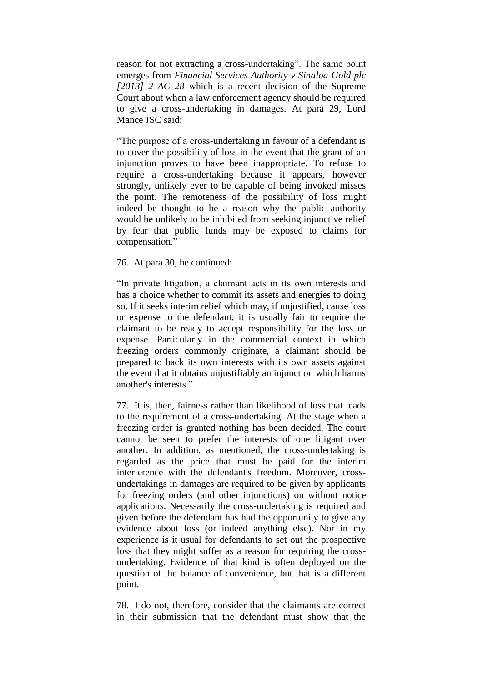reason for not extracting a cross-undertaking". The same point emerges from *[Financial Services Authority v Sinaloa Gold plc](https://uk.westlaw.com/Document/I45191B9080DC11E28767F319BAE9B94B/View/FullText.html?originationContext=document&transitionType=DocumentItem&contextData=(sc.DocLink))  [\[2013\] 2 AC 28](https://uk.westlaw.com/Document/I45191B9080DC11E28767F319BAE9B94B/View/FullText.html?originationContext=document&transitionType=DocumentItem&contextData=(sc.DocLink))* which is a recent decision of the Supreme Court about when a law enforcement agency should be required to give a cross-undertaking in damages. At para 29, Lord Mance JSC said:

"The purpose of a cross-undertaking in favour of a defendant is to cover the possibility of loss in the event that the grant of an injunction proves to have been inappropriate. To refuse to require a cross-undertaking because it appears, however strongly, unlikely ever to be capable of being invoked misses the point. The remoteness of the possibility of loss might indeed be thought to be a reason why the public authority would be unlikely to be inhibited from seeking injunctive relief by fear that public funds may be exposed to claims for compensation."

#### 76. At para 30, he continued:

"In private litigation, a claimant acts in its own interests and has a choice whether to commit its assets and energies to doing so. If it seeks interim relief which may, if unjustified, cause loss or expense to the defendant, it is usually fair to require the claimant to be ready to accept responsibility for the loss or expense. Particularly in the commercial context in which freezing orders commonly originate, a claimant should be prepared to back its own interests with its own assets against the event that it obtains unjustifiably an injunction which harms another's interests."

77. It is, then, fairness rather than likelihood of loss that leads to the requirement of a cross-undertaking. At the stage when a freezing order is granted nothing has been decided. The court cannot be seen to prefer the interests of one litigant over another. In addition, as mentioned, the cross-undertaking is regarded as the price that must be paid for the interim interference with the defendant's freedom. Moreover, crossundertakings in damages are required to be given by applicants for freezing orders (and other injunctions) on without notice applications. Necessarily the cross-undertaking is required and given before the defendant has had the opportunity to give any evidence about loss (or indeed anything else). Nor in my experience is it usual for defendants to set out the prospective loss that they might suffer as a reason for requiring the crossundertaking. Evidence of that kind is often deployed on the question of the balance of convenience, but that is a different point.

78. I do not, therefore, consider that the claimants are correct in their submission that the defendant must show that the